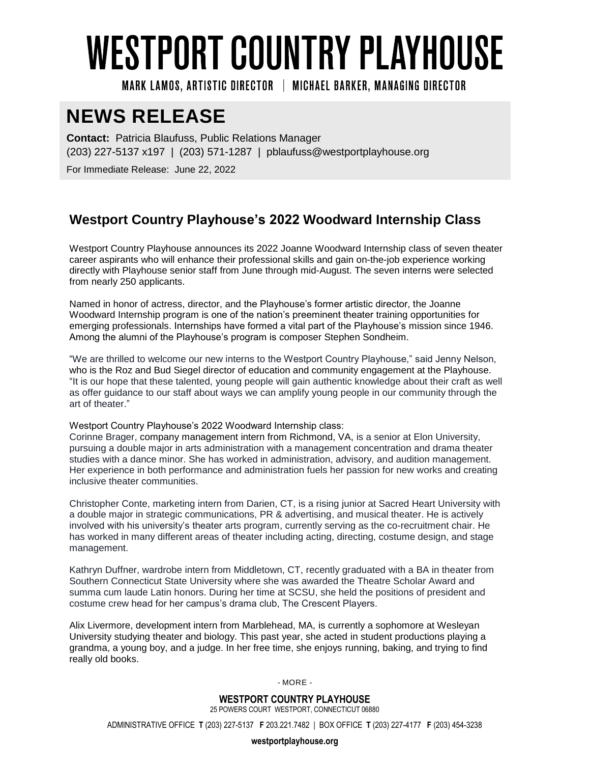## **WESTPORT COUNTRY PLAYHOUSE**

MARK LAMOS. ARTISTIC DIRECTOR | MICHAEL BARKER, MANAGING DIRECTOR

## **NEWS RELEASE**

**Contact:** Patricia Blaufuss, Public Relations Manager (203) 227-5137 x197 | (203) 571-1287 | pblaufuss@westportplayhouse.org

For Immediate Release: June 22, 2022

## **Westport Country Playhouse's 2022 Woodward Internship Class**

Westport Country Playhouse announces its 2022 Joanne Woodward Internship class of seven theater career aspirants who will enhance their professional skills and gain on-the-job experience working directly with Playhouse senior staff from June through mid-August. The seven interns were selected from nearly 250 applicants.

Named in honor of actress, director, and the Playhouse's former artistic director, the Joanne Woodward Internship program is one of the nation's preeminent theater training opportunities for emerging professionals. Internships have formed a vital part of the Playhouse's mission since 1946. Among the alumni of the Playhouse's program is composer Stephen Sondheim.

"We are thrilled to welcome our new interns to the Westport Country Playhouse," said Jenny Nelson, who is the Roz and Bud Siegel director of education and community engagement at the Playhouse. "It is our hope that these talented, young people will gain authentic knowledge about their craft as well as offer guidance to our staff about ways we can amplify young people in our community through the art of theater."

Westport Country Playhouse's 2022 Woodward Internship class:

Corinne Brager, company management intern from Richmond, VA, is a senior at Elon University, pursuing a double major in arts administration with a management concentration and drama theater studies with a dance minor. She has worked in administration, advisory, and audition management. Her experience in both performance and administration fuels her passion for new works and creating inclusive theater communities.

Christopher Conte, marketing intern from Darien, CT, is a rising junior at Sacred Heart University with a double major in strategic communications, PR & advertising, and musical theater. He is actively involved with his university's theater arts program, currently serving as the co-recruitment chair. He has worked in many different areas of theater including acting, directing, costume design, and stage management.

Kathryn Duffner, wardrobe intern from Middletown, CT, recently graduated with a BA in theater from Southern Connecticut State University where she was awarded the Theatre Scholar Award and summa cum laude Latin honors. During her time at SCSU, she held the positions of president and costume crew head for her campus's drama club, The Crescent Players.

Alix Livermore, development intern from Marblehead, MA, is currently a sophomore at Wesleyan University studying theater and biology. This past year, she acted in student productions playing a grandma, a young boy, and a judge. In her free time, she enjoys running, baking, and trying to find really old books.

- MORE -

**WESTPORT COUNTRY PLAYHOUSE** 25 POWERS COURT WESTPORT, CONNECTICUT 06880

ADMINISTRATIVE OFFICE **T** (203) 227-5137 **F** 203.221.7482 | BOX OFFICE **T** (203) 227-4177 **F** (203) 454-3238

**westportplayhouse.org**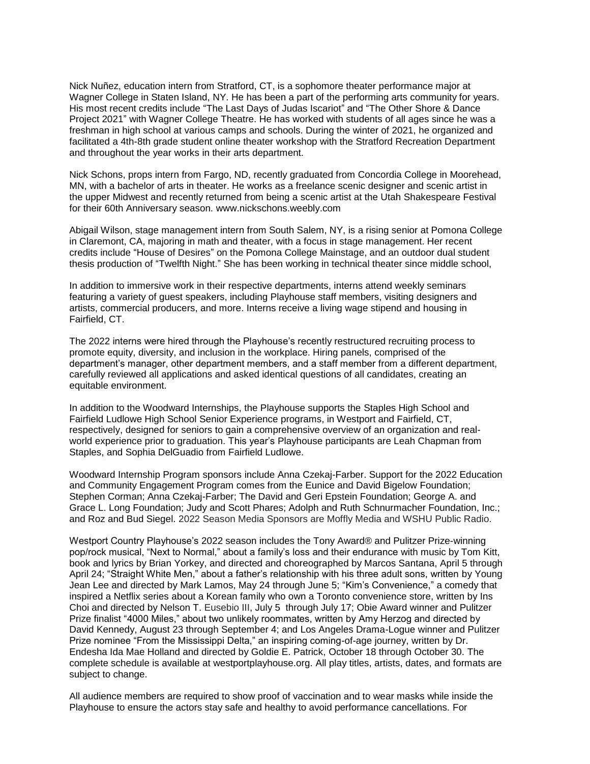Nick Nuñez, education intern from Stratford, CT, is a sophomore theater performance major at Wagner College in Staten Island, NY. He has been a part of the performing arts community for years. His most recent credits include "The Last Days of Judas Iscariot" and "The Other Shore & Dance Project 2021" with Wagner College Theatre. He has worked with students of all ages since he was a freshman in high school at various camps and schools. During the winter of 2021, he organized and facilitated a 4th-8th grade student online theater workshop with the Stratford Recreation Department and throughout the year works in their arts department.

Nick Schons, props intern from Fargo, ND, recently graduated from Concordia College in Moorehead, MN, with a bachelor of arts in theater. He works as a freelance scenic designer and scenic artist in the upper Midwest and recently returned from being a scenic artist at the Utah Shakespeare Festival for their 60th Anniversary season. www.nickschons.weebly.com

Abigail Wilson, stage management intern from South Salem, NY, is a rising senior at Pomona College in Claremont, CA, majoring in math and theater, with a focus in stage management. Her recent credits include "House of Desires" on the Pomona College Mainstage, and an outdoor dual student thesis production of "Twelfth Night." She has been working in technical theater since middle school,

In addition to immersive work in their respective departments, interns attend weekly seminars featuring a variety of guest speakers, including Playhouse staff members, visiting designers and artists, commercial producers, and more. Interns receive a living wage stipend and housing in Fairfield, CT.

The 2022 interns were hired through the Playhouse's recently restructured recruiting process to promote equity, diversity, and inclusion in the workplace. Hiring panels, comprised of the department's manager, other department members, and a staff member from a different department, carefully reviewed all applications and asked identical questions of all candidates, creating an equitable environment.

In addition to the Woodward Internships, the Playhouse supports the Staples High School and Fairfield Ludlowe High School Senior Experience programs, in Westport and Fairfield, CT, respectively, designed for seniors to gain a comprehensive overview of an organization and realworld experience prior to graduation. This year's Playhouse participants are Leah Chapman from Staples, and Sophia DelGuadio from Fairfield Ludlowe.

Woodward Internship Program sponsors include Anna Czekaj-Farber. Support for the 2022 Education and Community Engagement Program comes from the Eunice and David Bigelow Foundation; Stephen Corman; Anna Czekaj-Farber; The David and Geri Epstein Foundation; George A. and Grace L. Long Foundation; Judy and Scott Phares; Adolph and Ruth Schnurmacher Foundation, Inc.; and Roz and Bud Siegel. 2022 Season Media Sponsors are Moffly Media and WSHU Public Radio.

Westport Country Playhouse's 2022 season includes the Tony Award® and Pulitzer Prize-winning pop/rock musical, "Next to Normal," about a family's loss and their endurance with music by Tom Kitt, book and lyrics by Brian Yorkey, and directed and choreographed by Marcos Santana, April 5 through April 24; "Straight White Men," about a father's relationship with his three adult sons, written by Young Jean Lee and directed by Mark Lamos, May 24 through June 5; "Kim's Convenience," a comedy that inspired a Netflix series about a Korean family who own a Toronto convenience store, written by Ins Choi and directed by Nelson T. Eusebio III, July 5 through July 17; Obie Award winner and Pulitzer Prize finalist "4000 Miles," about two unlikely roommates, written by Amy Herzog and directed by David Kennedy, August 23 through September 4; and Los Angeles Drama-Logue winner and Pulitzer Prize nominee "From the Mississippi Delta," an inspiring coming-of-age journey, written by Dr. Endesha Ida Mae Holland and directed by Goldie E. Patrick, October 18 through October 30. The complete schedule is available at westportplayhouse.org. All play titles, artists, dates, and formats are subject to change.

All audience members are required to show proof of vaccination and to wear masks while inside the Playhouse to ensure the actors stay safe and healthy to avoid performance cancellations. For